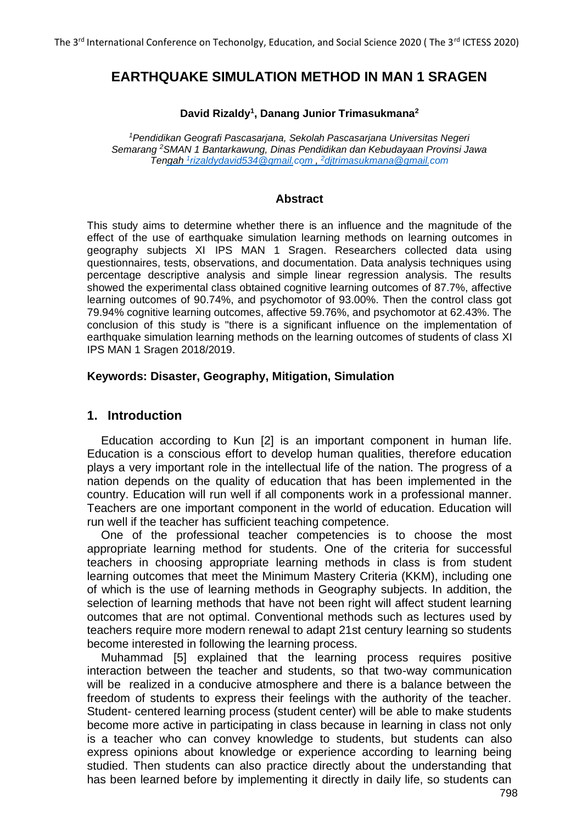# **EARTHQUAKE SIMULATION METHOD IN MAN 1 SRAGEN**

#### **David Rizaldy<sup>1</sup> , Danang Junior Trimasukmana<sup>2</sup>**

*<sup>1</sup>Pendidikan Geografi Pascasarjana, Sekolah Pascasarjana Universitas Negeri Semarang <sup>2</sup>SMAN 1 Bantarkawung, Dinas Pendidikan dan Kebudayaan Provinsi Jawa Tengah [1](mailto:1rizaldydavid534@gmail.com) [rizaldydavid534@gmail.com ,](mailto:1rizaldydavid534@gmail.com) [2](mailto:2djtrimasukmana@gmail.com)[djtrimasukmana@gmail.com](mailto:2djtrimasukmana@gmail.com)*

#### **Abstract**

This study aims to determine whether there is an influence and the magnitude of the effect of the use of earthquake simulation learning methods on learning outcomes in geography subjects XI IPS MAN 1 Sragen. Researchers collected data using questionnaires, tests, observations, and documentation. Data analysis techniques using percentage descriptive analysis and simple linear regression analysis. The results showed the experimental class obtained cognitive learning outcomes of 87.7%, affective learning outcomes of 90.74%, and psychomotor of 93.00%. Then the control class got 79.94% cognitive learning outcomes, affective 59.76%, and psychomotor at 62.43%. The conclusion of this study is "there is a significant influence on the implementation of earthquake simulation learning methods on the learning outcomes of students of class XI IPS MAN 1 Sragen 2018/2019.

### **Keywords: Disaster, Geography, Mitigation, Simulation**

### **1. Introduction**

Education according to Kun [2] is an important component in human life. Education is a conscious effort to develop human qualities, therefore education plays a very important role in the intellectual life of the nation. The progress of a nation depends on the quality of education that has been implemented in the country. Education will run well if all components work in a professional manner. Teachers are one important component in the world of education. Education will run well if the teacher has sufficient teaching competence.

One of the professional teacher competencies is to choose the most appropriate learning method for students. One of the criteria for successful teachers in choosing appropriate learning methods in class is from student learning outcomes that meet the Minimum Mastery Criteria (KKM), including one of which is the use of learning methods in Geography subjects. In addition, the selection of learning methods that have not been right will affect student learning outcomes that are not optimal. Conventional methods such as lectures used by teachers require more modern renewal to adapt 21st century learning so students become interested in following the learning process.

Muhammad [5] explained that the learning process requires positive interaction between the teacher and students, so that two-way communication will be realized in a conducive atmosphere and there is a balance between the freedom of students to express their feelings with the authority of the teacher. Student- centered learning process (student center) will be able to make students become more active in participating in class because in learning in class not only is a teacher who can convey knowledge to students, but students can also express opinions about knowledge or experience according to learning being studied. Then students can also practice directly about the understanding that has been learned before by implementing it directly in daily life, so students can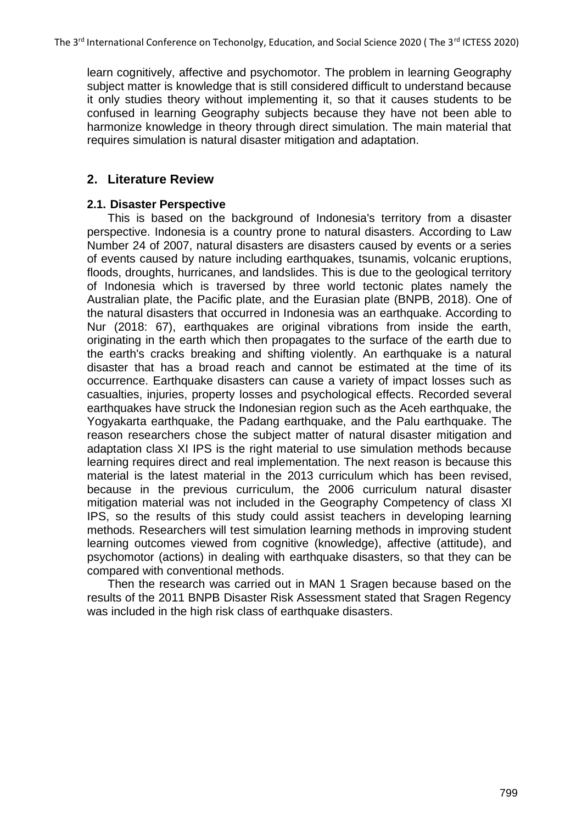learn cognitively, affective and psychomotor. The problem in learning Geography subject matter is knowledge that is still considered difficult to understand because it only studies theory without implementing it, so that it causes students to be confused in learning Geography subjects because they have not been able to harmonize knowledge in theory through direct simulation. The main material that requires simulation is natural disaster mitigation and adaptation.

# **2. Literature Review**

## **2.1. Disaster Perspective**

This is based on the background of Indonesia's territory from a disaster perspective. Indonesia is a country prone to natural disasters. According to Law Number 24 of 2007, natural disasters are disasters caused by events or a series of events caused by nature including earthquakes, tsunamis, volcanic eruptions, floods, droughts, hurricanes, and landslides. This is due to the geological territory of Indonesia which is traversed by three world tectonic plates namely the Australian plate, the Pacific plate, and the Eurasian plate (BNPB, 2018). One of the natural disasters that occurred in Indonesia was an earthquake. According to Nur (2018: 67), earthquakes are original vibrations from inside the earth, originating in the earth which then propagates to the surface of the earth due to the earth's cracks breaking and shifting violently. An earthquake is a natural disaster that has a broad reach and cannot be estimated at the time of its occurrence. Earthquake disasters can cause a variety of impact losses such as casualties, injuries, property losses and psychological effects. Recorded several earthquakes have struck the Indonesian region such as the Aceh earthquake, the Yogyakarta earthquake, the Padang earthquake, and the Palu earthquake. The reason researchers chose the subject matter of natural disaster mitigation and adaptation class XI IPS is the right material to use simulation methods because learning requires direct and real implementation. The next reason is because this material is the latest material in the 2013 curriculum which has been revised, because in the previous curriculum, the 2006 curriculum natural disaster mitigation material was not included in the Geography Competency of class XI IPS, so the results of this study could assist teachers in developing learning methods. Researchers will test simulation learning methods in improving student learning outcomes viewed from cognitive (knowledge), affective (attitude), and psychomotor (actions) in dealing with earthquake disasters, so that they can be compared with conventional methods.

Then the research was carried out in MAN 1 Sragen because based on the results of the 2011 BNPB Disaster Risk Assessment stated that Sragen Regency was included in the high risk class of earthquake disasters.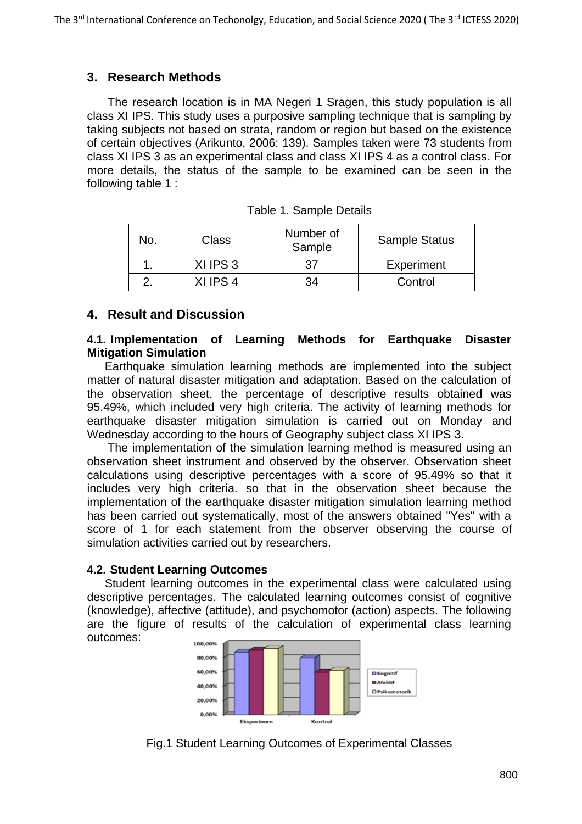# **3. Research Methods**

The research location is in MA Negeri 1 Sragen, this study population is all class XI IPS. This study uses a purposive sampling technique that is sampling by taking subjects not based on strata, random or region but based on the existence of certain objectives (Arikunto, 2006: 139). Samples taken were 73 students from class XI IPS 3 as an experimental class and class XI IPS 4 as a control class. For more details, the status of the sample to be examined can be seen in the following table 1 :

| No. | Class    | Number of<br>Sample | <b>Sample Status</b> |
|-----|----------|---------------------|----------------------|
|     | XI IPS 3 | 37                  | Experiment           |
|     | XI IPS 4 | 34                  | Control              |

| Table 1. Sample Details |
|-------------------------|
|-------------------------|

# **4. Result and Discussion**

#### **4.1. Implementation of Learning Methods for Earthquake Disaster Mitigation Simulation**

Earthquake simulation learning methods are implemented into the subject matter of natural disaster mitigation and adaptation. Based on the calculation of the observation sheet, the percentage of descriptive results obtained was 95.49%, which included very high criteria. The activity of learning methods for earthquake disaster mitigation simulation is carried out on Monday and Wednesday according to the hours of Geography subject class XI IPS 3.

The implementation of the simulation learning method is measured using an observation sheet instrument and observed by the observer. Observation sheet calculations using descriptive percentages with a score of 95.49% so that it includes very high criteria. so that in the observation sheet because the implementation of the earthquake disaster mitigation simulation learning method has been carried out systematically, most of the answers obtained "Yes" with a score of 1 for each statement from the observer observing the course of simulation activities carried out by researchers.

### **4.2. Student Learning Outcomes**

Student learning outcomes in the experimental class were calculated using descriptive percentages. The calculated learning outcomes consist of cognitive (knowledge), affective (attitude), and psychomotor (action) aspects. The following are the figure of results of the calculation of experimental class learning outcomes: 100,00%



Fig.1 Student Learning Outcomes of Experimental Classes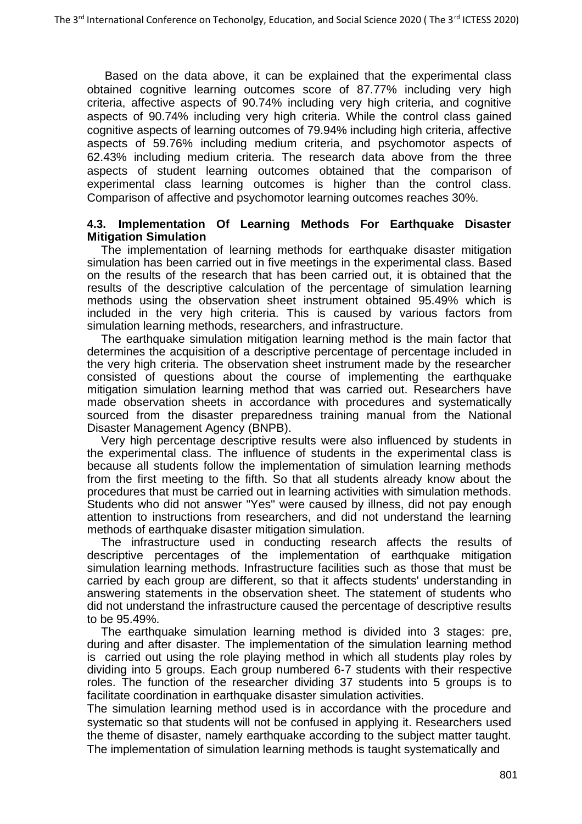Based on the data above, it can be explained that the experimental class obtained cognitive learning outcomes score of 87.77% including very high criteria, affective aspects of 90.74% including very high criteria, and cognitive aspects of 90.74% including very high criteria. While the control class gained cognitive aspects of learning outcomes of 79.94% including high criteria, affective aspects of 59.76% including medium criteria, and psychomotor aspects of 62.43% including medium criteria. The research data above from the three aspects of student learning outcomes obtained that the comparison of experimental class learning outcomes is higher than the control class. Comparison of affective and psychomotor learning outcomes reaches 30%.

#### **4.3. Implementation Of Learning Methods For Earthquake Disaster Mitigation Simulation**

The implementation of learning methods for earthquake disaster mitigation simulation has been carried out in five meetings in the experimental class. Based on the results of the research that has been carried out, it is obtained that the results of the descriptive calculation of the percentage of simulation learning methods using the observation sheet instrument obtained 95.49% which is included in the very high criteria. This is caused by various factors from simulation learning methods, researchers, and infrastructure.

The earthquake simulation mitigation learning method is the main factor that determines the acquisition of a descriptive percentage of percentage included in the very high criteria. The observation sheet instrument made by the researcher consisted of questions about the course of implementing the earthquake mitigation simulation learning method that was carried out. Researchers have made observation sheets in accordance with procedures and systematically sourced from the disaster preparedness training manual from the National Disaster Management Agency (BNPB).

Very high percentage descriptive results were also influenced by students in the experimental class. The influence of students in the experimental class is because all students follow the implementation of simulation learning methods from the first meeting to the fifth. So that all students already know about the procedures that must be carried out in learning activities with simulation methods. Students who did not answer "Yes" were caused by illness, did not pay enough attention to instructions from researchers, and did not understand the learning methods of earthquake disaster mitigation simulation.

The infrastructure used in conducting research affects the results of descriptive percentages of the implementation of earthquake mitigation simulation learning methods. Infrastructure facilities such as those that must be carried by each group are different, so that it affects students' understanding in answering statements in the observation sheet. The statement of students who did not understand the infrastructure caused the percentage of descriptive results to be 95.49%.

The earthquake simulation learning method is divided into 3 stages: pre, during and after disaster. The implementation of the simulation learning method is carried out using the role playing method in which all students play roles by dividing into 5 groups. Each group numbered 6-7 students with their respective roles. The function of the researcher dividing 37 students into 5 groups is to facilitate coordination in earthquake disaster simulation activities.

The simulation learning method used is in accordance with the procedure and systematic so that students will not be confused in applying it. Researchers used the theme of disaster, namely earthquake according to the subject matter taught. The implementation of simulation learning methods is taught systematically and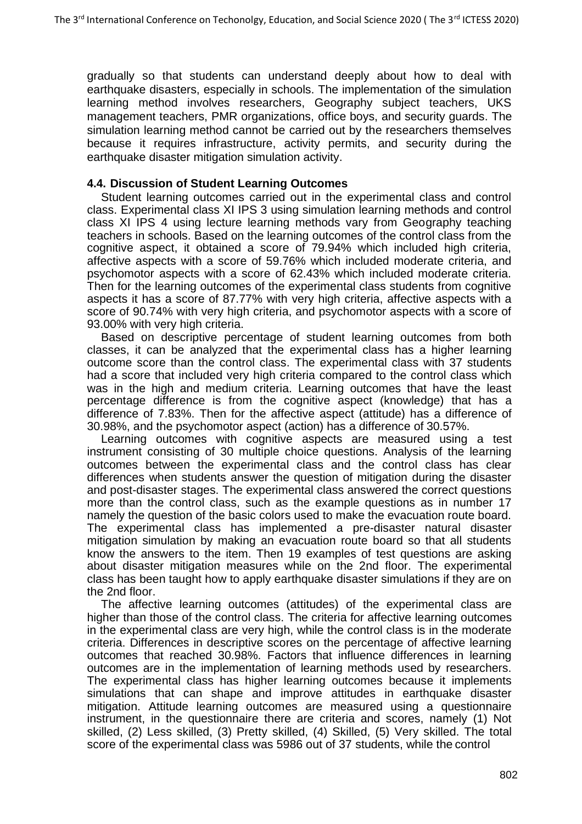gradually so that students can understand deeply about how to deal with earthquake disasters, especially in schools. The implementation of the simulation learning method involves researchers, Geography subject teachers, UKS management teachers, PMR organizations, office boys, and security guards. The simulation learning method cannot be carried out by the researchers themselves because it requires infrastructure, activity permits, and security during the earthquake disaster mitigation simulation activity.

### **4.4. Discussion of Student Learning Outcomes**

Student learning outcomes carried out in the experimental class and control class. Experimental class XI IPS 3 using simulation learning methods and control class XI IPS 4 using lecture learning methods vary from Geography teaching teachers in schools. Based on the learning outcomes of the control class from the cognitive aspect, it obtained a score of 79.94% which included high criteria, affective aspects with a score of 59.76% which included moderate criteria, and psychomotor aspects with a score of 62.43% which included moderate criteria. Then for the learning outcomes of the experimental class students from cognitive aspects it has a score of 87.77% with very high criteria, affective aspects with a score of 90.74% with very high criteria, and psychomotor aspects with a score of 93.00% with very high criteria.

Based on descriptive percentage of student learning outcomes from both classes, it can be analyzed that the experimental class has a higher learning outcome score than the control class. The experimental class with 37 students had a score that included very high criteria compared to the control class which was in the high and medium criteria. Learning outcomes that have the least percentage difference is from the cognitive aspect (knowledge) that has a difference of 7.83%. Then for the affective aspect (attitude) has a difference of 30.98%, and the psychomotor aspect (action) has a difference of 30.57%.

Learning outcomes with cognitive aspects are measured using a test instrument consisting of 30 multiple choice questions. Analysis of the learning outcomes between the experimental class and the control class has clear differences when students answer the question of mitigation during the disaster and post-disaster stages. The experimental class answered the correct questions more than the control class, such as the example questions as in number 17 namely the question of the basic colors used to make the evacuation route board. The experimental class has implemented a pre-disaster natural disaster mitigation simulation by making an evacuation route board so that all students know the answers to the item. Then 19 examples of test questions are asking about disaster mitigation measures while on the 2nd floor. The experimental class has been taught how to apply earthquake disaster simulations if they are on the 2nd floor.

The affective learning outcomes (attitudes) of the experimental class are higher than those of the control class. The criteria for affective learning outcomes in the experimental class are very high, while the control class is in the moderate criteria. Differences in descriptive scores on the percentage of affective learning outcomes that reached 30.98%. Factors that influence differences in learning outcomes are in the implementation of learning methods used by researchers. The experimental class has higher learning outcomes because it implements simulations that can shape and improve attitudes in earthquake disaster mitigation. Attitude learning outcomes are measured using a questionnaire instrument, in the questionnaire there are criteria and scores, namely (1) Not skilled, (2) Less skilled, (3) Pretty skilled, (4) Skilled, (5) Very skilled. The total score of the experimental class was 5986 out of 37 students, while the control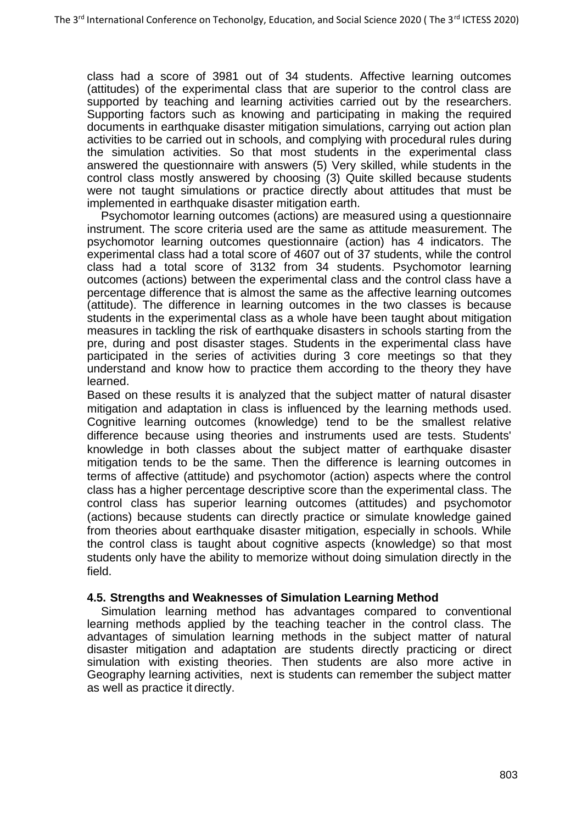class had a score of 3981 out of 34 students. Affective learning outcomes (attitudes) of the experimental class that are superior to the control class are supported by teaching and learning activities carried out by the researchers. Supporting factors such as knowing and participating in making the required documents in earthquake disaster mitigation simulations, carrying out action plan activities to be carried out in schools, and complying with procedural rules during the simulation activities. So that most students in the experimental class answered the questionnaire with answers (5) Very skilled, while students in the control class mostly answered by choosing (3) Quite skilled because students were not taught simulations or practice directly about attitudes that must be implemented in earthquake disaster mitigation earth.

Psychomotor learning outcomes (actions) are measured using a questionnaire instrument. The score criteria used are the same as attitude measurement. The psychomotor learning outcomes questionnaire (action) has 4 indicators. The experimental class had a total score of 4607 out of 37 students, while the control class had a total score of 3132 from 34 students. Psychomotor learning outcomes (actions) between the experimental class and the control class have a percentage difference that is almost the same as the affective learning outcomes (attitude). The difference in learning outcomes in the two classes is because students in the experimental class as a whole have been taught about mitigation measures in tackling the risk of earthquake disasters in schools starting from the pre, during and post disaster stages. Students in the experimental class have participated in the series of activities during 3 core meetings so that they understand and know how to practice them according to the theory they have learned.

Based on these results it is analyzed that the subject matter of natural disaster mitigation and adaptation in class is influenced by the learning methods used. Cognitive learning outcomes (knowledge) tend to be the smallest relative difference because using theories and instruments used are tests. Students' knowledge in both classes about the subject matter of earthquake disaster mitigation tends to be the same. Then the difference is learning outcomes in terms of affective (attitude) and psychomotor (action) aspects where the control class has a higher percentage descriptive score than the experimental class. The control class has superior learning outcomes (attitudes) and psychomotor (actions) because students can directly practice or simulate knowledge gained from theories about earthquake disaster mitigation, especially in schools. While the control class is taught about cognitive aspects (knowledge) so that most students only have the ability to memorize without doing simulation directly in the field.

### **4.5. Strengths and Weaknesses of Simulation Learning Method**

Simulation learning method has advantages compared to conventional learning methods applied by the teaching teacher in the control class. The advantages of simulation learning methods in the subject matter of natural disaster mitigation and adaptation are students directly practicing or direct simulation with existing theories. Then students are also more active in Geography learning activities, next is students can remember the subject matter as well as practice it directly.